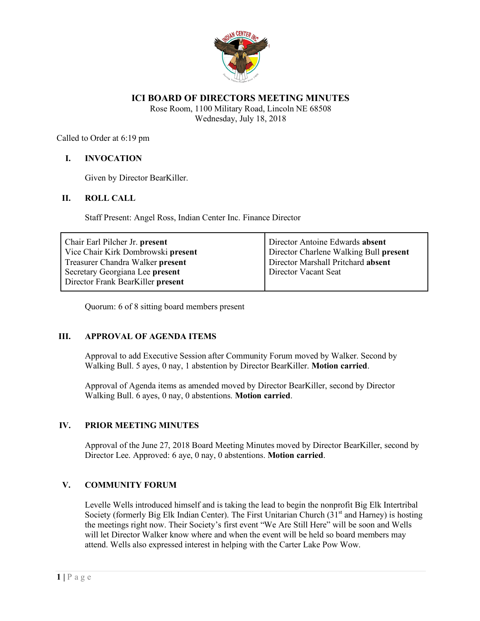

## **ICI BOARD OF DIRECTORS MEETING MINUTES**

Rose Room, 1100 Military Road, Lincoln NE 68508 Wednesday, July 18, 2018

Called to Order at 6:19 pm

## **I. INVOCATION**

Given by Director BearKiller.

#### **II. ROLL CALL**

Staff Present: Angel Ross, Indian Center Inc. Finance Director

| Chair Earl Pilcher Jr. present     | Director Antoine Edwards absent        |
|------------------------------------|----------------------------------------|
| Vice Chair Kirk Dombrowski present | Director Charlene Walking Bull present |
| Treasurer Chandra Walker present   | Director Marshall Pritchard absent     |
| Secretary Georgiana Lee present    | Director Vacant Seat                   |
| Director Frank BearKiller present  |                                        |

Quorum: 6 of 8 sitting board members present

## **III. APPROVAL OF AGENDA ITEMS**

Approval to add Executive Session after Community Forum moved by Walker. Second by Walking Bull. 5 ayes, 0 nay, 1 abstention by Director BearKiller. **Motion carried**.

Approval of Agenda items as amended moved by Director BearKiller, second by Director Walking Bull. 6 ayes, 0 nay, 0 abstentions. **Motion carried**.

## **IV. PRIOR MEETING MINUTES**

Approval of the June 27, 2018 Board Meeting Minutes moved by Director BearKiller, second by Director Lee. Approved: 6 aye, 0 nay, 0 abstentions. **Motion carried**.

#### **V. COMMUNITY FORUM**

Levelle Wells introduced himself and is taking the lead to begin the nonprofit Big Elk Intertribal Society (formerly Big Elk Indian Center). The First Unitarian Church  $(31<sup>st</sup>$  and Harney) is hosting the meetings right now. Their Society's first event "We Are Still Here" will be soon and Wells will let Director Walker know where and when the event will be held so board members may attend. Wells also expressed interest in helping with the Carter Lake Pow Wow.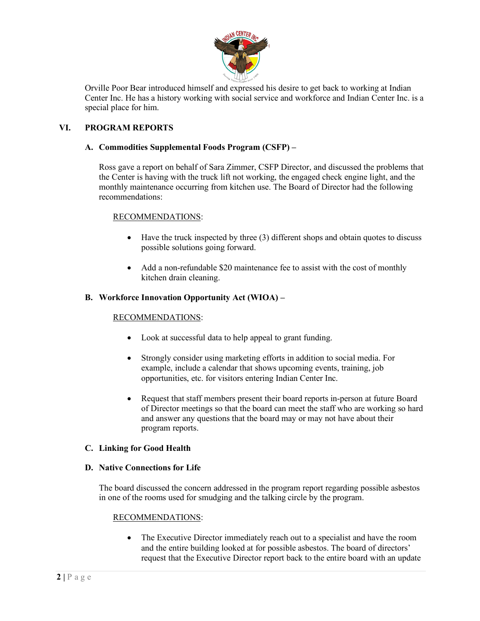

Orville Poor Bear introduced himself and expressed his desire to get back to working at Indian Center Inc. He has a history working with social service and workforce and Indian Center Inc. is a special place for him.

# **VI. PROGRAM REPORTS**

## **A. Commodities Supplemental Foods Program (CSFP) –**

Ross gave a report on behalf of Sara Zimmer, CSFP Director, and discussed the problems that the Center is having with the truck lift not working, the engaged check engine light, and the monthly maintenance occurring from kitchen use. The Board of Director had the following recommendations:

# RECOMMENDATIONS:

- Have the truck inspected by three (3) different shops and obtain quotes to discuss possible solutions going forward.
- Add a non-refundable \$20 maintenance fee to assist with the cost of monthly kitchen drain cleaning.

## **B. Workforce Innovation Opportunity Act (WIOA) –**

## RECOMMENDATIONS:

- Look at successful data to help appeal to grant funding.
- Strongly consider using marketing efforts in addition to social media. For example, include a calendar that shows upcoming events, training, job opportunities, etc. for visitors entering Indian Center Inc.
- Request that staff members present their board reports in-person at future Board of Director meetings so that the board can meet the staff who are working so hard and answer any questions that the board may or may not have about their program reports.

#### **C. Linking for Good Health**

#### **D. Native Connections for Life**

The board discussed the concern addressed in the program report regarding possible asbestos in one of the rooms used for smudging and the talking circle by the program.

#### RECOMMENDATIONS:

• The Executive Director immediately reach out to a specialist and have the room and the entire building looked at for possible asbestos. The board of directors' request that the Executive Director report back to the entire board with an update